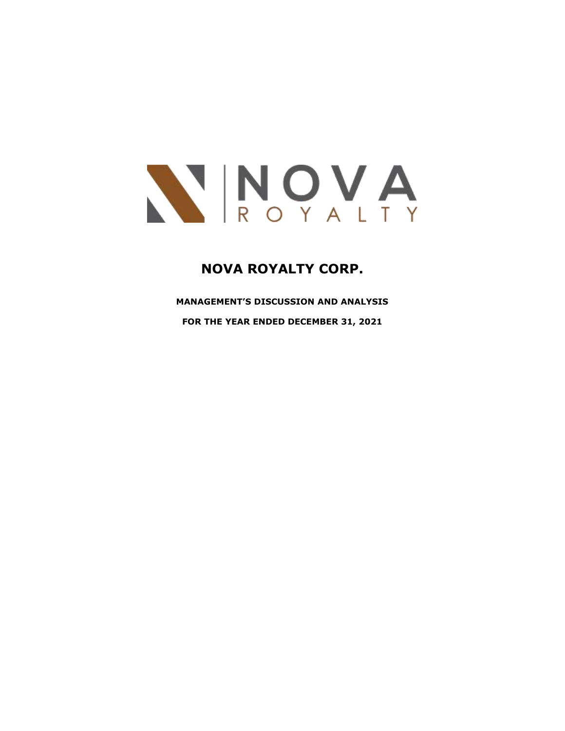

# **NOVA ROYALTY CORP.**

**MANAGEMENT'S DISCUSSION AND ANALYSIS**

**FOR THE YEAR ENDED DECEMBER 31, 2021**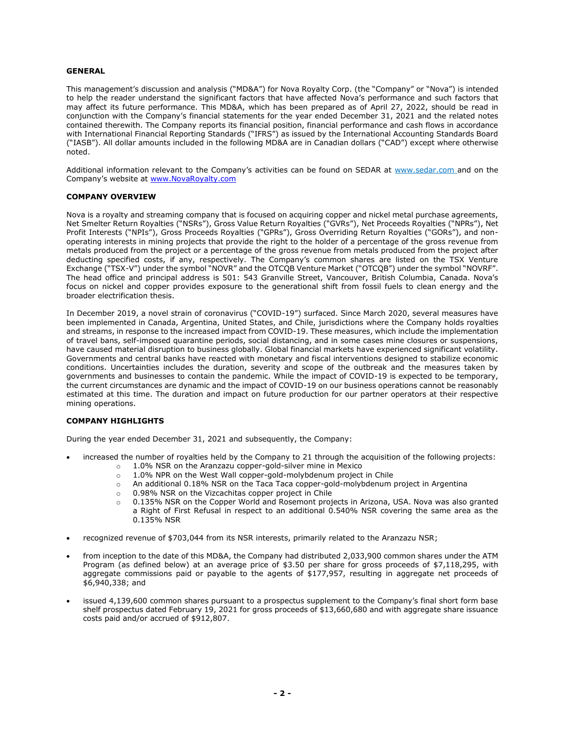## **GENERAL**

This management's discussion and analysis ("MD&A") for Nova Royalty Corp. (the "Company" or "Nova") is intended to help the reader understand the significant factors that have affected Nova's performance and such factors that may affect its future performance. This MD&A, which has been prepared as of April 27, 2022, should be read in conjunction with the Company's financial statements for the year ended December 31, 2021 and the related notes contained therewith. The Company reports its financial position, financial performance and cash flows in accordance with International Financial Reporting Standards ("IFRS") as issued by the International Accounting Standards Board ("IASB"). All dollar amounts included in the following MD&A are in Canadian dollars ("CAD") except where otherwise noted.

Additional information relevant to the Company's activities can be found on SEDAR at [www.sedar.com](http://www.sedar.com/) and on the Company's website at [www.NovaRoyalty.com](http://www.novaroyalty.com/)

# **COMPANY OVERVIEW**

Nova is a royalty and streaming company that is focused on acquiring copper and nickel metal purchase agreements, Net Smelter Return Royalties ("NSRs"), Gross Value Return Royalties ("GVRs"), Net Proceeds Royalties ("NPRs"), Net Profit Interests ("NPIs"), Gross Proceeds Royalties ("GPRs"), Gross Overriding Return Royalties ("GORs"), and nonoperating interests in mining projects that provide the right to the holder of a percentage of the gross revenue from metals produced from the project or a percentage of the gross revenue from metals produced from the project after deducting specified costs, if any, respectively. The Company's common shares are listed on the TSX Venture Exchange ("TSX-V") under the symbol "NOVR" and the OTCQB Venture Market ("OTCQB") under the symbol "NOVRF". The head office and principal address is 501: 543 Granville Street, Vancouver, British Columbia, Canada. Nova's focus on nickel and copper provides exposure to the generational shift from fossil fuels to clean energy and the broader electrification thesis.

In December 2019, a novel strain of coronavirus ("COVID-19") surfaced. Since March 2020, several measures have been implemented in Canada, Argentina, United States, and Chile, jurisdictions where the Company holds royalties and streams, in response to the increased impact from COVID-19. These measures, which include the implementation of travel bans, self-imposed quarantine periods, social distancing, and in some cases mine closures or suspensions, have caused material disruption to business globally. Global financial markets have experienced significant volatility. Governments and central banks have reacted with monetary and fiscal interventions designed to stabilize economic conditions. Uncertainties includes the duration, severity and scope of the outbreak and the measures taken by governments and businesses to contain the pandemic. While the impact of COVID-19 is expected to be temporary, the current circumstances are dynamic and the impact of COVID-19 on our business operations cannot be reasonably estimated at this time. The duration and impact on future production for our partner operators at their respective mining operations.

## **COMPANY HIGHLIGHTS**

During the year ended December 31, 2021 and subsequently, the Company:

- increased the number of royalties held by the Company to 21 through the acquisition of the following projects:
	- $\circ$  1.0% NSR on the Aranzazu copper-gold-silver mine in Mexico
	- $\circ$  1.0% NPR on the West Wall copper-gold-molybdenum project in Chile
	- o An additional 0.18% NSR on the Taca Taca copper-gold-molybdenum project in Argentina
	- o 0.98% NSR on the Vizcachitas copper project in Chile
	- $\circ$  0.135% NSR on the Copper World and Rosemont projects in Arizona, USA. Nova was also granted a Right of First Refusal in respect to an additional 0.540% NSR covering the same area as the 0.135% NSR
- recognized revenue of \$703,044 from its NSR interests, primarily related to the Aranzazu NSR;
- from inception to the date of this MD&A, the Company had distributed 2,033,900 common shares under the ATM Program (as defined below) at an average price of \$3.50 per share for gross proceeds of \$7,118,295, with aggregate commissions paid or payable to the agents of \$177,957, resulting in aggregate net proceeds of \$6,940,338; and
- issued 4,139,600 common shares pursuant to a prospectus supplement to the Company's final short form base shelf prospectus dated February 19, 2021 for gross proceeds of \$13,660,680 and with aggregate share issuance costs paid and/or accrued of \$912,807.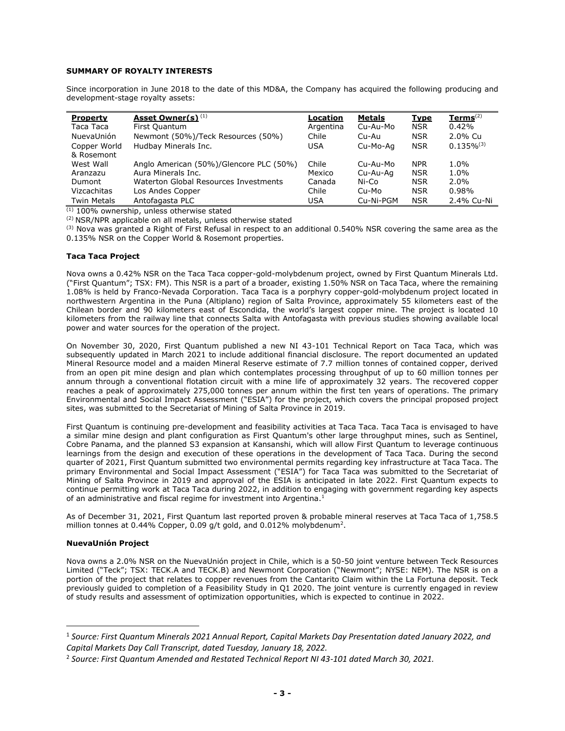# **SUMMARY OF ROYALTY INTERESTS**

Since incorporation in June 2018 to the date of this MD&A, the Company has acquired the following producing and development-stage royalty assets:

| <b>Property</b>    | Asset Owner(s) <sup>(1)</sup>           | Location   | <b>Metals</b> | <b>Type</b> | $Terms(2)$      |
|--------------------|-----------------------------------------|------------|---------------|-------------|-----------------|
| Taca Taca          | First Quantum                           | Argentina  | Cu-Au-Mo      | <b>NSR</b>  | 0.42%           |
| NuevaUnión         | Newmont (50%)/Teck Resources (50%)      | Chile      | Cu-Au         | <b>NSR</b>  | 2.0% Cu         |
| Copper World       | Hudbay Minerals Inc.                    | <b>USA</b> | Cu-Mo-Aa      | <b>NSR</b>  | $0.135\%^{(3)}$ |
| & Rosemont         |                                         |            |               |             |                 |
| West Wall          | Anglo American (50%)/Glencore PLC (50%) | Chile      | Cu-Au-Mo      | <b>NPR</b>  | $1.0\%$         |
| Aranzazu           | Aura Minerals Inc.                      | Mexico     | Cu-Au-Ag      | <b>NSR</b>  | $1.0\%$         |
| Dumont             | Waterton Global Resources Investments   | Canada     | Ni-Co         | <b>NSR</b>  | $2.0\%$         |
| Vizcachitas        | Los Andes Copper                        | Chile      | Cu-Mo         | <b>NSR</b>  | 0.98%           |
| <b>Twin Metals</b> | Antofagasta PLC                         | <b>USA</b> | Cu-Ni-PGM     | <b>NSR</b>  | 2.4% Cu-Ni      |

 $(1)$  100% ownership, unless otherwise stated

(2) NSR/NPR applicable on all metals, unless otherwise stated

 $(3)$  Nova was granted a Right of First Refusal in respect to an additional 0.540% NSR covering the same area as the 0.135% NSR on the Copper World & Rosemont properties.

# **Taca Taca Project**

Nova owns a 0.42% NSR on the Taca Taca copper-gold-molybdenum project, owned by First Quantum Minerals Ltd. ("First Quantum"; TSX: FM). This NSR is a part of a broader, existing 1.50% NSR on Taca Taca, where the remaining 1.08% is held by Franco-Nevada Corporation. Taca Taca is a porphyry copper-gold-molybdenum project located in northwestern Argentina in the Puna (Altiplano) region of Salta Province, approximately 55 kilometers east of the Chilean border and 90 kilometers east of Escondida, the world's largest copper mine. The project is located 10 kilometers from the railway line that connects Salta with Antofagasta with previous studies showing available local power and water sources for the operation of the project.

On November 30, 2020, First Quantum published a new NI 43-101 Technical Report on Taca Taca, which was subsequently updated in March 2021 to include additional financial disclosure. The report documented an updated Mineral Resource model and a maiden Mineral Reserve estimate of 7.7 million tonnes of contained copper, derived from an open pit mine design and plan which contemplates processing throughput of up to 60 million tonnes per annum through a conventional flotation circuit with a mine life of approximately 32 years. The recovered copper reaches a peak of approximately 275,000 tonnes per annum within the first ten years of operations. The primary Environmental and Social Impact Assessment ("ESIA") for the project, which covers the principal proposed project sites, was submitted to the Secretariat of Mining of Salta Province in 2019.

First Quantum is continuing pre-development and feasibility activities at Taca Taca. Taca Taca is envisaged to have a similar mine design and plant configuration as First Quantum's other large throughput mines, such as Sentinel, Cobre Panama, and the planned S3 expansion at Kansanshi, which will allow First Quantum to leverage continuous learnings from the design and execution of these operations in the development of Taca Taca. During the second quarter of 2021, First Quantum submitted two environmental permits regarding key infrastructure at Taca Taca. The primary Environmental and Social Impact Assessment ("ESIA") for Taca Taca was submitted to the Secretariat of Mining of Salta Province in 2019 and approval of the ESIA is anticipated in late 2022. First Quantum expects to continue permitting work at Taca Taca during 2022, in addition to engaging with government regarding key aspects of an administrative and fiscal regime for investment into Argentina. $<sup>1</sup>$ </sup>

As of December 31, 2021, First Quantum last reported proven & probable mineral reserves at Taca Taca of 1,758.5 million tonnes at 0.44% Copper, 0.09 g/t gold, and 0.012% molybdenum<sup>2</sup>.

# **NuevaUnión Project**

Nova owns a 2.0% NSR on the NuevaUnión project in Chile, which is a 50-50 joint venture between Teck Resources Limited ("Teck"; TSX: TECK.A and TECK.B) and Newmont Corporation ("Newmont"; NYSE: NEM). The NSR is on a portion of the project that relates to copper revenues from the Cantarito Claim within the La Fortuna deposit. Teck previously guided to completion of a Feasibility Study in Q1 2020. The joint venture is currently engaged in review of study results and assessment of optimization opportunities, which is expected to continue in 2022.

<sup>1</sup> *Source: First Quantum Minerals 2021 Annual Report, Capital Markets Day Presentation dated January 2022, and Capital Markets Day Call Transcript, dated Tuesday, January 18, 2022.*

<sup>2</sup> *Source: First Quantum Amended and Restated Technical Report NI 43-101 dated March 30, 2021.*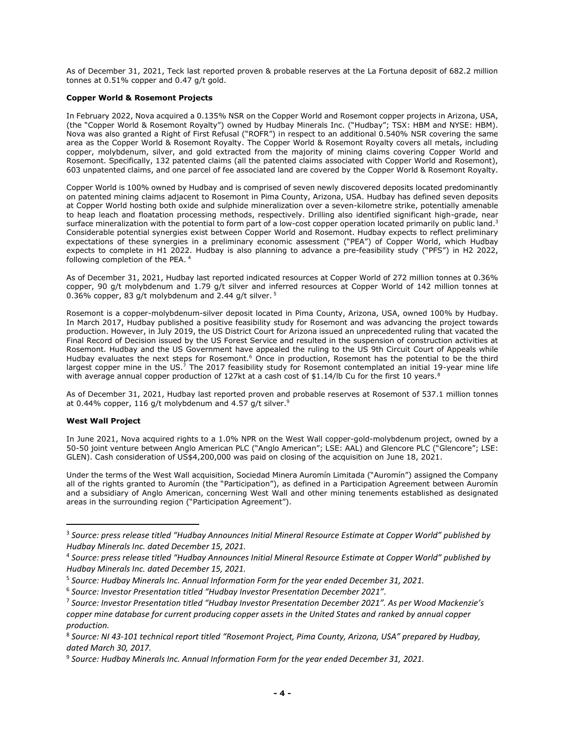As of December 31, 2021, Teck last reported proven & probable reserves at the La Fortuna deposit of 682.2 million tonnes at 0.51% copper and 0.47 g/t gold.

# **Copper World & Rosemont Projects**

In February 2022, Nova acquired a 0.135% NSR on the Copper World and Rosemont copper projects in Arizona, USA, (the "Copper World & Rosemont Royalty") owned by Hudbay Minerals Inc. ("Hudbay"; TSX: HBM and NYSE: HBM). Nova was also granted a Right of First Refusal ("ROFR") in respect to an additional 0.540% NSR covering the same area as the Copper World & Rosemont Royalty. The Copper World & Rosemont Royalty covers all metals, including copper, molybdenum, silver, and gold extracted from the majority of mining claims covering Copper World and Rosemont. Specifically, 132 patented claims (all the patented claims associated with Copper World and Rosemont), 603 unpatented claims, and one parcel of fee associated land are covered by the Copper World & Rosemont Royalty.

Copper World is 100% owned by Hudbay and is comprised of seven newly discovered deposits located predominantly on patented mining claims adjacent to Rosemont in Pima County, Arizona, USA. Hudbay has defined seven deposits at Copper World hosting both oxide and sulphide mineralization over a seven-kilometre strike, potentially amenable to heap leach and floatation processing methods, respectively. Drilling also identified significant high-grade, near surface mineralization with the potential to form part of a low-cost copper operation located primarily on public land.<sup>3</sup> Considerable potential synergies exist between Copper World and Rosemont. Hudbay expects to reflect preliminary expectations of these synergies in a preliminary economic assessment ("PEA") of Copper World, which Hudbay expects to complete in H1 2022. Hudbay is also planning to advance a pre-feasibility study ("PFS") in H2 2022, following completion of the PEA. <sup>4</sup>

As of December 31, 2021, Hudbay last reported indicated resources at Copper World of 272 million tonnes at 0.36% copper, 90 g/t molybdenum and 1.79 g/t silver and inferred resources at Copper World of 142 million tonnes at 0.36% copper, 83 g/t molybdenum and 2.44 g/t silver.  $5$ 

Rosemont is a copper-molybdenum-silver deposit located in Pima County, Arizona, USA, owned 100% by Hudbay. In March 2017, Hudbay published a positive feasibility study for Rosemont and was advancing the project towards production. However, in July 2019, the US District Court for Arizona issued an unprecedented ruling that vacated the Final Record of Decision issued by the US Forest Service and resulted in the suspension of construction activities at Rosemont. Hudbay and the US Government have appealed the ruling to the US 9th Circuit Court of Appeals while Hudbay evaluates the next steps for Rosemont.<sup>6</sup> Once in production, Rosemont has the potential to be the third largest copper mine in the US.<sup>7</sup> The 2017 feasibility study for Rosemont contemplated an initial 19-year mine life with average annual copper production of 127kt at a cash cost of \$1.14/lb Cu for the first 10 years.<sup>8</sup>

As of December 31, 2021, Hudbay last reported proven and probable reserves at Rosemont of 537.1 million tonnes at 0.44% copper, 116 g/t molybdenum and 4.57 g/t silver.<sup>9</sup>

## **West Wall Project**

In June 2021, Nova acquired rights to a 1.0% NPR on the West Wall copper-gold-molybdenum project, owned by a 50-50 joint venture between Anglo American PLC ("Anglo American"; LSE: AAL) and Glencore PLC ("Glencore"; LSE: GLEN). Cash consideration of US\$4,200,000 was paid on closing of the acquisition on June 18, 2021.

Under the terms of the West Wall acquisition, Sociedad Minera Auromín Limitada ("Auromín") assigned the Company all of the rights granted to Auromín (the "Participation"), as defined in a Participation Agreement between Auromín and a subsidiary of Anglo American, concerning West Wall and other mining tenements established as designated areas in the surrounding region ("Participation Agreement").

<sup>3</sup> *Source: press release titled "Hudbay Announces Initial Mineral Resource Estimate at Copper World" published by Hudbay Minerals Inc. dated December 15, 2021.*

<sup>4</sup> *Source: press release titled "Hudbay Announces Initial Mineral Resource Estimate at Copper World" published by Hudbay Minerals Inc. dated December 15, 2021.*

<sup>5</sup> *Source: Hudbay Minerals Inc. Annual Information Form for the year ended December 31, 2021.*

<sup>6</sup> *Source: Investor Presentation titled "Hudbay Investor Presentation December 2021".*

<sup>7</sup> *Source: Investor Presentation titled "Hudbay Investor Presentation December 2021". As per Wood Mackenzie's copper mine database for current producing copper assets in the United States and ranked by annual copper production.*

<sup>8</sup> *Source: NI 43-101 technical report titled "Rosemont Project, Pima County, Arizona, USA" prepared by Hudbay, dated March 30, 2017.*

<sup>9</sup> *Source: Hudbay Minerals Inc. Annual Information Form for the year ended December 31, 2021.*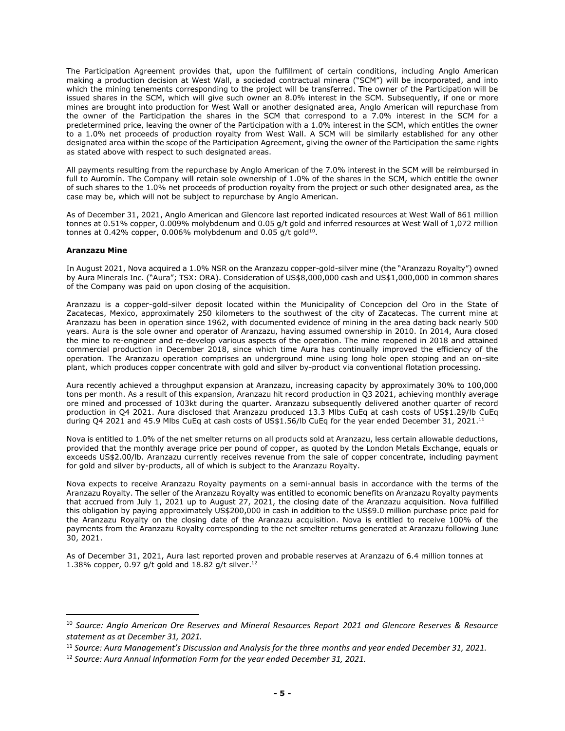The Participation Agreement provides that, upon the fulfillment of certain conditions, including Anglo American making a production decision at West Wall, a sociedad contractual minera ("SCM") will be incorporated, and into which the mining tenements corresponding to the project will be transferred. The owner of the Participation will be issued shares in the SCM, which will give such owner an 8.0% interest in the SCM. Subsequently, if one or more mines are brought into production for West Wall or another designated area, Anglo American will repurchase from the owner of the Participation the shares in the SCM that correspond to a 7.0% interest in the SCM for a predetermined price, leaving the owner of the Participation with a 1.0% interest in the SCM, which entitles the owner to a 1.0% net proceeds of production royalty from West Wall. A SCM will be similarly established for any other designated area within the scope of the Participation Agreement, giving the owner of the Participation the same rights as stated above with respect to such designated areas.

All payments resulting from the repurchase by Anglo American of the 7.0% interest in the SCM will be reimbursed in full to Auromín. The Company will retain sole ownership of 1.0% of the shares in the SCM, which entitle the owner of such shares to the 1.0% net proceeds of production royalty from the project or such other designated area, as the case may be, which will not be subject to repurchase by Anglo American.

As of December 31, 2021, Anglo American and Glencore last reported indicated resources at West Wall of 861 million tonnes at 0.51% copper, 0.009% molybdenum and 0.05 g/t gold and inferred resources at West Wall of 1,072 million tonnes at 0.42% copper, 0.006% molybdenum and 0.05 g/t gold $^{10}$ .

# **Aranzazu Mine**

In August 2021, Nova acquired a 1.0% NSR on the Aranzazu copper-gold-silver mine (the "Aranzazu Royalty") owned by Aura Minerals Inc. ("Aura"; TSX: ORA). Consideration of US\$8,000,000 cash and US\$1,000,000 in common shares of the Company was paid on upon closing of the acquisition.

Aranzazu is a copper-gold-silver deposit located within the Municipality of Concepcion del Oro in the State of Zacatecas, Mexico, approximately 250 kilometers to the southwest of the city of Zacatecas. The current mine at Aranzazu has been in operation since 1962, with documented evidence of mining in the area dating back nearly 500 years. Aura is the sole owner and operator of Aranzazu, having assumed ownership in 2010. In 2014, Aura closed the mine to re-engineer and re-develop various aspects of the operation. The mine reopened in 2018 and attained commercial production in December 2018, since which time Aura has continually improved the efficiency of the operation. The Aranzazu operation comprises an underground mine using long hole open stoping and an on-site plant, which produces copper concentrate with gold and silver by-product via conventional flotation processing.

Aura recently achieved a throughput expansion at Aranzazu, increasing capacity by approximately 30% to 100,000 tons per month. As a result of this expansion, Aranzazu hit record production in Q3 2021, achieving monthly average ore mined and processed of 103kt during the quarter. Aranzazu subsequently delivered another quarter of record production in Q4 2021. Aura disclosed that Aranzazu produced 13.3 Mlbs CuEq at cash costs of US\$1.29/lb CuEq during Q4 2021 and 45.9 Mlbs CuEq at cash costs of US\$1.56/lb CuEq for the year ended December 31, 2021.<sup>11</sup>

Nova is entitled to 1.0% of the net smelter returns on all products sold at Aranzazu, less certain allowable deductions, provided that the monthly average price per pound of copper, as quoted by the London Metals Exchange, equals or exceeds US\$2.00/lb. Aranzazu currently receives revenue from the sale of copper concentrate, including payment for gold and silver by-products, all of which is subject to the Aranzazu Royalty.

Nova expects to receive Aranzazu Royalty payments on a semi-annual basis in accordance with the terms of the Aranzazu Royalty. The seller of the Aranzazu Royalty was entitled to economic benefits on Aranzazu Royalty payments that accrued from July 1, 2021 up to August 27, 2021, the closing date of the Aranzazu acquisition. Nova fulfilled this obligation by paying approximately US\$200,000 in cash in addition to the US\$9.0 million purchase price paid for the Aranzazu Royalty on the closing date of the Aranzazu acquisition. Nova is entitled to receive 100% of the payments from the Aranzazu Royalty corresponding to the net smelter returns generated at Aranzazu following June 30, 2021.

As of December 31, 2021, Aura last reported proven and probable reserves at Aranzazu of 6.4 million tonnes at 1.38% copper, 0.97 g/t gold and 18.82 g/t silver.<sup>12</sup>

<sup>10</sup> *Source: Anglo American Ore Reserves and Mineral Resources Report 2021 and Glencore Reserves & Resource statement as at December 31, 2021.*

<sup>11</sup> *Source: Aura Management's Discussion and Analysis for the three months and year ended December 31, 2021.*

<sup>12</sup> *Source: Aura Annual Information Form for the year ended December 31, 2021.*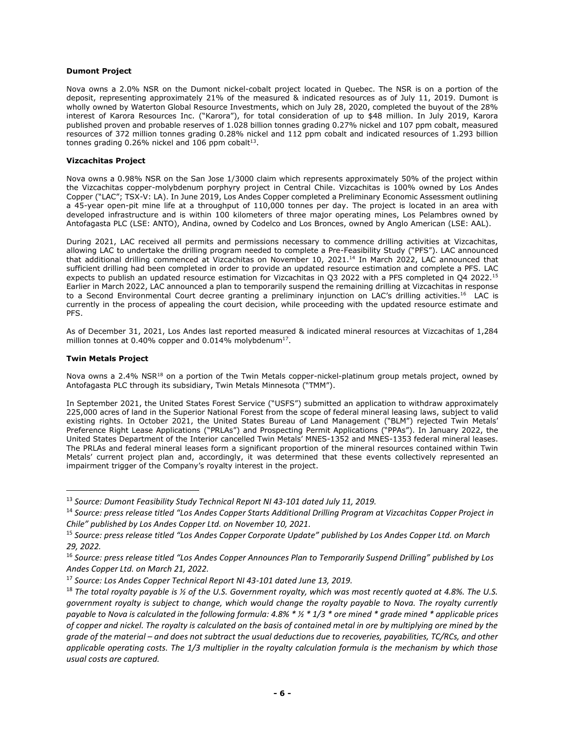# **Dumont Project**

Nova owns a 2.0% NSR on the Dumont nickel-cobalt project located in Quebec. The NSR is on a portion of the deposit, representing approximately 21% of the measured & indicated resources as of July 11, 2019. Dumont is wholly owned by Waterton Global Resource Investments, which on July 28, 2020, completed the buyout of the 28% interest of Karora Resources Inc. ("Karora"), for total consideration of up to \$48 million. In July 2019, Karora published proven and probable reserves of 1.028 billion tonnes grading 0.27% nickel and 107 ppm cobalt, measured resources of 372 million tonnes grading 0.28% nickel and 112 ppm cobalt and indicated resources of 1.293 billion tonnes grading  $0.26\%$  nickel and 106 ppm cobalt $^{13}$ .

# **Vizcachitas Project**

Nova owns a 0.98% NSR on the San Jose 1/3000 claim which represents approximately 50% of the project within the Vizcachitas copper-molybdenum porphyry project in Central Chile. Vizcachitas is 100% owned by Los Andes Copper ("LAC"; TSX-V: LA). In June 2019, Los Andes Copper completed a Preliminary Economic Assessment outlining a 45-year open-pit mine life at a throughput of 110,000 tonnes per day. The project is located in an area with developed infrastructure and is within 100 kilometers of three major operating mines, Los Pelambres owned by Antofagasta PLC (LSE: ANTO), Andina, owned by Codelco and Los Bronces, owned by Anglo American (LSE: AAL).

During 2021, LAC received all permits and permissions necessary to commence drilling activities at Vizcachitas, allowing LAC to undertake the drilling program needed to complete a Pre-Feasibility Study ("PFS"). LAC announced that additional drilling commenced at Vizcachitas on November 10, 2021.<sup>14</sup> In March 2022, LAC announced that sufficient drilling had been completed in order to provide an updated resource estimation and complete a PFS. LAC expects to publish an updated resource estimation for Vizcachitas in Q3 2022 with a PFS completed in Q4 2022.<sup>15</sup> Earlier in March 2022, LAC announced a plan to temporarily suspend the remaining drilling at Vizcachitas in response to a Second Environmental Court decree granting a preliminary injunction on LAC's drilling activities.<sup>16</sup> LAC is currently in the process of appealing the court decision, while proceeding with the updated resource estimate and PFS.

As of December 31, 2021, Los Andes last reported measured & indicated mineral resources at Vizcachitas of 1,284 million tonnes at 0.40% copper and 0.014% molybdenum<sup>17</sup>.

# **Twin Metals Project**

Nova owns a 2.4% NSR<sup>18</sup> on a portion of the Twin Metals copper-nickel-platinum group metals project, owned by Antofagasta PLC through its subsidiary, Twin Metals Minnesota ("TMM").

In September 2021, the United States Forest Service ("USFS") submitted an application to withdraw approximately 225,000 acres of land in the Superior National Forest from the scope of federal mineral leasing laws, subject to valid existing rights. In October 2021, the United States Bureau of Land Management ("BLM") rejected Twin Metals' Preference Right Lease Applications ("PRLAs") and Prospecting Permit Applications ("PPAs"). In January 2022, the United States Department of the Interior cancelled Twin Metals' MNES-1352 and MNES-1353 federal mineral leases. The PRLAs and federal mineral leases form a significant proportion of the mineral resources contained within Twin Metals' current project plan and, accordingly, it was determined that these events collectively represented an impairment trigger of the Company's royalty interest in the project.

<sup>13</sup> *Source: Dumont Feasibility Study Technical Report NI 43-101 dated July 11, 2019.*

<sup>14</sup> *Source: press release titled "Los Andes Copper Starts Additional Drilling Program at Vizcachitas Copper Project in Chile" published by Los Andes Copper Ltd. on November 10, 2021.*

<sup>15</sup> *Source: press release titled "Los Andes Copper Corporate Update" published by Los Andes Copper Ltd. on March 29, 2022.*

<sup>16</sup> *Source: press release titled "Los Andes Copper Announces Plan to Temporarily Suspend Drilling" published by Los Andes Copper Ltd. on March 21, 2022.*

<sup>17</sup> *Source: Los Andes Copper Technical Report NI 43-101 dated June 13, 2019.*

<sup>18</sup> *The total royalty payable is ½ of the U.S. Government royalty, which was most recently quoted at 4.8%. The U.S. government royalty is subject to change, which would change the royalty payable to Nova. The royalty currently payable to Nova is calculated in the following formula: 4.8% \* ½ \* 1/3 \* ore mined \* grade mined \* applicable prices of copper and nickel. The royalty is calculated on the basis of contained metal in ore by multiplying ore mined by the grade of the material – and does not subtract the usual deductions due to recoveries, payabilities, TC/RCs, and other applicable operating costs. The 1/3 multiplier in the royalty calculation formula is the mechanism by which those usual costs are captured.*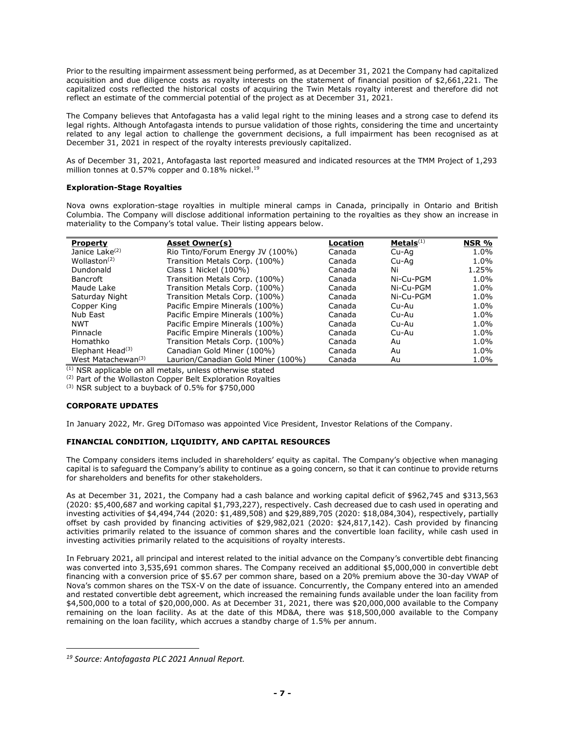Prior to the resulting impairment assessment being performed, as at December 31, 2021 the Company had capitalized acquisition and due diligence costs as royalty interests on the statement of financial position of \$2,661,221. The capitalized costs reflected the historical costs of acquiring the Twin Metals royalty interest and therefore did not reflect an estimate of the commercial potential of the project as at December 31, 2021.

The Company believes that Antofagasta has a valid legal right to the mining leases and a strong case to defend its legal rights. Although Antofagasta intends to pursue validation of those rights, considering the time and uncertainty related to any legal action to challenge the government decisions, a full impairment has been recognised as at December 31, 2021 in respect of the royalty interests previously capitalized.

As of December 31, 2021, Antofagasta last reported measured and indicated resources at the TMM Project of 1,293 million tonnes at 0.57% copper and 0.18% nickel.<sup>19</sup>

# **Exploration-Stage Royalties**

Nova owns exploration-stage royalties in multiple mineral camps in Canada, principally in Ontario and British Columbia. The Company will disclose additional information pertaining to the royalties as they show an increase in materiality to the Company's total value. Their listing appears below.

| <b>Property</b>                | <b>Asset Owner(s)</b>              | Location | Metals <sup>(1)</sup> | NSR %   |
|--------------------------------|------------------------------------|----------|-----------------------|---------|
| Janice Lake <sup>(2)</sup>     | Rio Tinto/Forum Energy JV (100%)   | Canada   | Cu-Aq                 | 1.0%    |
| Wollaston <sup>(2)</sup>       | Transition Metals Corp. (100%)     | Canada   | Cu-Aa                 | 1.0%    |
| Dundonald                      | Class 1 Nickel (100%)              | Canada   | Ni                    | 1.25%   |
| <b>Bancroft</b>                | Transition Metals Corp. (100%)     | Canada   | Ni-Cu-PGM             | 1.0%    |
| Maude Lake                     | Transition Metals Corp. (100%)     | Canada   | Ni-Cu-PGM             | 1.0%    |
| Saturday Night                 | Transition Metals Corp. (100%)     | Canada   | Ni-Cu-PGM             | 1.0%    |
| Copper King                    | Pacific Empire Minerals (100%)     | Canada   | Cu-Au                 | 1.0%    |
| Nub East                       | Pacific Empire Minerals (100%)     | Canada   | Cu-Au                 | 1.0%    |
| <b>NWT</b>                     | Pacific Empire Minerals (100%)     | Canada   | Cu-Au                 | 1.0%    |
| Pinnacle                       | Pacific Empire Minerals (100%)     | Canada   | Cu-Au                 | $1.0\%$ |
| Homathko                       | Transition Metals Corp. (100%)     | Canada   | Au                    | 1.0%    |
| Elephant Head $(3)$            | Canadian Gold Miner (100%)         | Canada   | Au                    | 1.0%    |
| West Matachewan <sup>(3)</sup> | Laurion/Canadian Gold Miner (100%) | Canada   | Au                    | 1.0%    |

(1) NSR applicable on all metals, unless otherwise stated

(2) Part of the Wollaston Copper Belt Exploration Royalties

(3) NSR subject to a buyback of 0.5% for \$750,000

# **CORPORATE UPDATES**

In January 2022, Mr. Greg DiTomaso was appointed Vice President, Investor Relations of the Company.

# **FINANCIAL CONDITION, LIQUIDITY, AND CAPITAL RESOURCES**

The Company considers items included in shareholders' equity as capital. The Company's objective when managing capital is to safeguard the Company's ability to continue as a going concern, so that it can continue to provide returns for shareholders and benefits for other stakeholders.

As at December 31, 2021, the Company had a cash balance and working capital deficit of \$962,745 and \$313,563 (2020: \$5,400,687 and working capital \$1,793,227), respectively. Cash decreased due to cash used in operating and investing activities of \$4,494,744 (2020: \$1,489,508) and \$29,889,705 (2020: \$18,084,304), respectively, partially offset by cash provided by financing activities of \$29,982,021 (2020: \$24,817,142). Cash provided by financing activities primarily related to the issuance of common shares and the convertible loan facility, while cash used in investing activities primarily related to the acquisitions of royalty interests.

In February 2021, all principal and interest related to the initial advance on the Company's convertible debt financing was converted into 3,535,691 common shares. The Company received an additional \$5,000,000 in convertible debt financing with a conversion price of \$5.67 per common share, based on a 20% premium above the 30-day VWAP of Nova's common shares on the TSX-V on the date of issuance. Concurrently, the Company entered into an amended and restated convertible debt agreement, which increased the remaining funds available under the loan facility from \$4,500,000 to a total of \$20,000,000. As at December 31, 2021, there was \$20,000,000 available to the Company remaining on the loan facility. As at the date of this MD&A, there was \$18,500,000 available to the Company remaining on the loan facility, which accrues a standby charge of 1.5% per annum.

*<sup>19</sup> Source: Antofagasta PLC 2021 Annual Report.*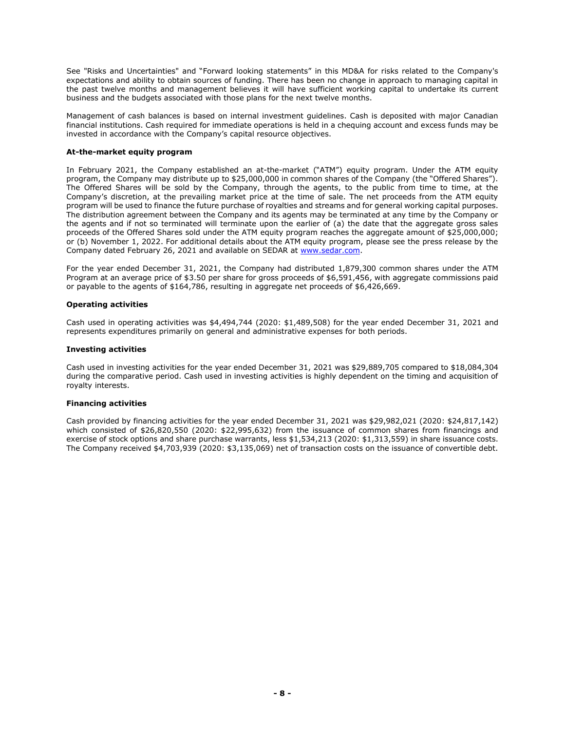See "Risks and Uncertainties" and "Forward looking statements" in this MD&A for risks related to the Company's expectations and ability to obtain sources of funding. There has been no change in approach to managing capital in the past twelve months and management believes it will have sufficient working capital to undertake its current business and the budgets associated with those plans for the next twelve months.

Management of cash balances is based on internal investment guidelines. Cash is deposited with major Canadian financial institutions. Cash required for immediate operations is held in a chequing account and excess funds may be invested in accordance with the Company's capital resource objectives.

## **At-the-market equity program**

In February 2021, the Company established an at-the-market ("ATM") equity program. Under the ATM equity program, the Company may distribute up to \$25,000,000 in common shares of the Company (the "Offered Shares"). The Offered Shares will be sold by the Company, through the agents, to the public from time to time, at the Company's discretion, at the prevailing market price at the time of sale. The net proceeds from the ATM equity program will be used to finance the future purchase of royalties and streams and for general working capital purposes. The distribution agreement between the Company and its agents may be terminated at any time by the Company or the agents and if not so terminated will terminate upon the earlier of (a) the date that the aggregate gross sales proceeds of the Offered Shares sold under the ATM equity program reaches the aggregate amount of \$25,000,000; or (b) November 1, 2022. For additional details about the ATM equity program, please see the press release by the Company dated February 26, 2021 and available on SEDAR at [www.sedar.com.](http://www.sedar.com/)

For the year ended December 31, 2021, the Company had distributed 1,879,300 common shares under the ATM Program at an average price of \$3.50 per share for gross proceeds of \$6,591,456, with aggregate commissions paid or payable to the agents of \$164,786, resulting in aggregate net proceeds of \$6,426,669.

# **Operating activities**

Cash used in operating activities was \$4,494,744 (2020: \$1,489,508) for the year ended December 31, 2021 and represents expenditures primarily on general and administrative expenses for both periods.

## **Investing activities**

Cash used in investing activities for the year ended December 31, 2021 was \$29,889,705 compared to \$18,084,304 during the comparative period. Cash used in investing activities is highly dependent on the timing and acquisition of royalty interests.

## **Financing activities**

Cash provided by financing activities for the year ended December 31, 2021 was \$29,982,021 (2020: \$24,817,142) which consisted of \$26,820,550 (2020: \$22,995,632) from the issuance of common shares from financings and exercise of stock options and share purchase warrants, less \$1,534,213 (2020: \$1,313,559) in share issuance costs. The Company received \$4,703,939 (2020: \$3,135,069) net of transaction costs on the issuance of convertible debt.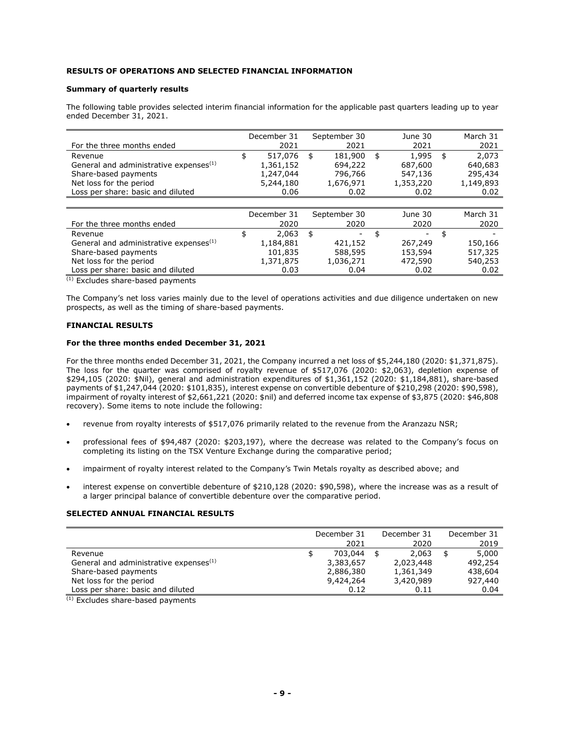# **RESULTS OF OPERATIONS AND SELECTED FINANCIAL INFORMATION**

## **Summary of quarterly results**

The following table provides selected interim financial information for the applicable past quarters leading up to year ended December 31, 2021.

|                                                    | December 31   | September 30  | June 30     | March 31    |
|----------------------------------------------------|---------------|---------------|-------------|-------------|
| For the three months ended                         | 2021          | 2021          | 2021        | 2021        |
| Revenue                                            | \$<br>517,076 | \$<br>181,900 | \$<br>1,995 | \$<br>2.073 |
| General and administrative expenses <sup>(1)</sup> | 1,361,152     | 694,222       | 687,600     | 640,683     |
| Share-based payments                               | 1,247,044     | 796,766       | 547,136     | 295,434     |
| Net loss for the period                            | 5,244,180     | 1,676,971     | 1,353,220   | 1,149,893   |
| Loss per share: basic and diluted                  | 0.06          | 0.02          | 0.02        | 0.02        |
|                                                    |               |               |             |             |
|                                                    | December 31   | September 30  | June 30     | March 31    |
| For the three months ended                         | 2020          | 2020          | 2020        | 2020        |
| Revenue                                            | \$<br>2,063   | \$            | \$          | \$          |
| General and administrative expenses <sup>(1)</sup> | 1,184,881     | 421,152       | 267,249     | 150,166     |
| Share-based payments                               | 101,835       | 588,595       | 153,594     | 517,325     |
| Net loss for the period                            | 1,371,875     | 1,036,271     | 472,590     | 540,253     |
| Loss per share: basic and diluted                  | 0.03          | 0.04          | 0.02        | 0.02        |

(1) Excludes share-based payments

The Company's net loss varies mainly due to the level of operations activities and due diligence undertaken on new prospects, as well as the timing of share-based payments.

# **FINANCIAL RESULTS**

## **For the three months ended December 31, 2021**

For the three months ended December 31, 2021, the Company incurred a net loss of \$5,244,180 (2020: \$1,371,875). The loss for the quarter was comprised of royalty revenue of \$517,076 (2020: \$2,063), depletion expense of \$294,105 (2020: \$Nil), general and administration expenditures of \$1,361,152 (2020: \$1,184,881), share-based payments of \$1,247,044 (2020: \$101,835), interest expense on convertible debenture of \$210,298 (2020: \$90,598), impairment of royalty interest of \$2,661,221 (2020: \$nil) and deferred income tax expense of \$3,875 (2020: \$46,808 recovery). Some items to note include the following:

- revenue from royalty interests of \$517,076 primarily related to the revenue from the Aranzazu NSR;
- professional fees of \$94,487 (2020: \$203,197), where the decrease was related to the Company's focus on completing its listing on the TSX Venture Exchange during the comparative period;
- impairment of royalty interest related to the Company's Twin Metals royalty as described above; and
- interest expense on convertible debenture of \$210,128 (2020: \$90,598), where the increase was as a result of a larger principal balance of convertible debenture over the comparative period.

# **SELECTED ANNUAL FINANCIAL RESULTS**

|                                                    | December 31 |           |  | December 31 | December 31 |         |
|----------------------------------------------------|-------------|-----------|--|-------------|-------------|---------|
|                                                    |             | 2021      |  | 2020        |             | 2019    |
| Revenue                                            |             | 703,044   |  | 2,063       |             | 5,000   |
| General and administrative expenses <sup>(1)</sup> |             | 3,383,657 |  | 2,023,448   |             | 492,254 |
| Share-based payments                               |             | 2,886,380 |  | 1,361,349   |             | 438,604 |
| Net loss for the period                            |             | 9,424,264 |  | 3,420,989   |             | 927,440 |
| Loss per share: basic and diluted                  |             | 0.12      |  | 0.11        |             | 0.04    |

 $(1)$  Excludes share-based payments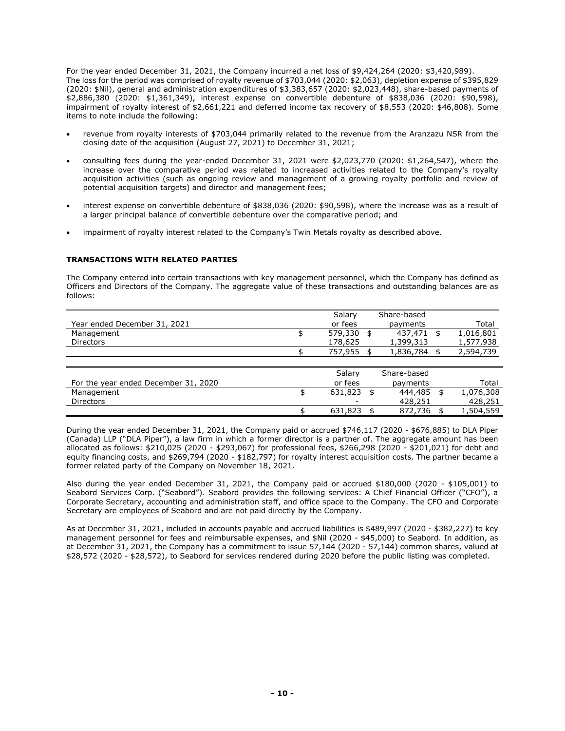For the year ended December 31, 2021, the Company incurred a net loss of \$9,424,264 (2020: \$3,420,989). The loss for the period was comprised of royalty revenue of \$703,044 (2020: \$2,063), depletion expense of \$395,829 (2020: \$Nil), general and administration expenditures of \$3,383,657 (2020: \$2,023,448), share-based payments of \$2,886,380 (2020: \$1,361,349), interest expense on convertible debenture of \$838,036 (2020: \$90,598), impairment of royalty interest of \$2,661,221 and deferred income tax recovery of \$8,553 (2020: \$46,808). Some items to note include the following:

- revenue from royalty interests of \$703,044 primarily related to the revenue from the Aranzazu NSR from the closing date of the acquisition (August 27, 2021) to December 31, 2021;
- consulting fees during the year-ended December 31, 2021 were \$2,023,770 (2020: \$1,264,547), where the increase over the comparative period was related to increased activities related to the Company's royalty acquisition activities (such as ongoing review and management of a growing royalty portfolio and review of potential acquisition targets) and director and management fees;
- interest expense on convertible debenture of \$838,036 (2020: \$90,598), where the increase was as a result of a larger principal balance of convertible debenture over the comparative period; and
- impairment of royalty interest related to the Company's Twin Metals royalty as described above.

# **TRANSACTIONS WITH RELATED PARTIES**

The Company entered into certain transactions with key management personnel, which the Company has defined as Officers and Directors of the Company. The aggregate value of these transactions and outstanding balances are as follows:

|                              | Salary  | Share-based |           |
|------------------------------|---------|-------------|-----------|
| Year ended December 31, 2021 | or fees | payments    | Total     |
| Management                   | 579,330 | 437.471 \$  | 1,016,801 |
| <b>Directors</b>             | 178,625 | 1,399,313   | 1,577,938 |
|                              | 757.955 | 1,836,784   | 2,594,739 |
|                              |         |             |           |

|                                      | Salary  | Share-based |           |
|--------------------------------------|---------|-------------|-----------|
| For the year ended December 31, 2020 | or fees | payments    | Total     |
| Management                           | 631.823 | 444,485     | 1,076,308 |
| Directors                            | -       | 428,251     | 428,251   |
|                                      | 631,823 | 872,736     | 1,504,559 |

During the year ended December 31, 2021, the Company paid or accrued \$746,117 (2020 - \$676,885) to DLA Piper (Canada) LLP ("DLA Piper"), a law firm in which a former director is a partner of. The aggregate amount has been allocated as follows: \$210,025 (2020 - \$293,067) for professional fees, \$266,298 (2020 - \$201,021) for debt and equity financing costs, and \$269,794 (2020 - \$182,797) for royalty interest acquisition costs. The partner became a former related party of the Company on November 18, 2021.

Also during the year ended December 31, 2021, the Company paid or accrued \$180,000 (2020 - \$105,001) to Seabord Services Corp. ("Seabord"). Seabord provides the following services: A Chief Financial Officer ("CFO"), a Corporate Secretary, accounting and administration staff, and office space to the Company. The CFO and Corporate Secretary are employees of Seabord and are not paid directly by the Company.

As at December 31, 2021, included in accounts payable and accrued liabilities is \$489,997 (2020 - \$382,227) to key management personnel for fees and reimbursable expenses, and \$Nil (2020 - \$45,000) to Seabord. In addition, as at December 31, 2021, the Company has a commitment to issue 57,144 (2020 - 57,144) common shares, valued at \$28,572 (2020 - \$28,572), to Seabord for services rendered during 2020 before the public listing was completed.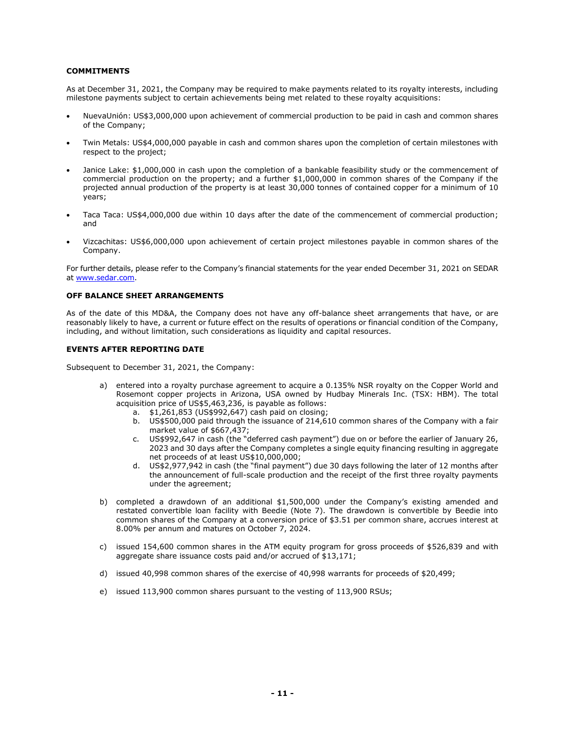# **COMMITMENTS**

As at December 31, 2021, the Company may be required to make payments related to its royalty interests, including milestone payments subject to certain achievements being met related to these royalty acquisitions:

- NuevaUnión: US\$3,000,000 upon achievement of commercial production to be paid in cash and common shares of the Company;
- Twin Metals: US\$4,000,000 payable in cash and common shares upon the completion of certain milestones with respect to the project;
- Janice Lake: \$1,000,000 in cash upon the completion of a bankable feasibility study or the commencement of commercial production on the property; and a further \$1,000,000 in common shares of the Company if the projected annual production of the property is at least 30,000 tonnes of contained copper for a minimum of 10 years;
- Taca Taca: US\$4,000,000 due within 10 days after the date of the commencement of commercial production; and
- Vizcachitas: US\$6,000,000 upon achievement of certain project milestones payable in common shares of the Company.

For further details, please refer to the Company's financial statements for the year ended December 31, 2021 on SEDAR at [www.sedar.com.](http://www.sedar.com/)

## **OFF BALANCE SHEET ARRANGEMENTS**

As of the date of this MD&A, the Company does not have any off-balance sheet arrangements that have, or are reasonably likely to have, a current or future effect on the results of operations or financial condition of the Company, including, and without limitation, such considerations as liquidity and capital resources.

# **EVENTS AFTER REPORTING DATE**

Subsequent to December 31, 2021, the Company:

- a) entered into a royalty purchase agreement to acquire a 0.135% NSR royalty on the Copper World and Rosemont copper projects in Arizona, USA owned by Hudbay Minerals Inc. (TSX: HBM). The total acquisition price of US\$5,463,236, is payable as follows:
	- a. \$1,261,853 (US\$992,647) cash paid on closing;
	- b. US\$500,000 paid through the issuance of 214,610 common shares of the Company with a fair market value of \$667,437;
	- c. US\$992,647 in cash (the "deferred cash payment") due on or before the earlier of January 26, 2023 and 30 days after the Company completes a single equity financing resulting in aggregate net proceeds of at least US\$10,000,000;
	- d. US\$2,977,942 in cash (the "final payment") due 30 days following the later of 12 months after the announcement of full-scale production and the receipt of the first three royalty payments under the agreement;
- b) completed a drawdown of an additional \$1,500,000 under the Company's existing amended and restated convertible loan facility with Beedie (Note 7). The drawdown is convertible by Beedie into common shares of the Company at a conversion price of \$3.51 per common share, accrues interest at 8.00% per annum and matures on October 7, 2024.
- c) issued 154,600 common shares in the ATM equity program for gross proceeds of \$526,839 and with aggregate share issuance costs paid and/or accrued of \$13,171;
- d) issued 40,998 common shares of the exercise of 40,998 warrants for proceeds of \$20,499;
- e) issued 113,900 common shares pursuant to the vesting of 113,900 RSUs;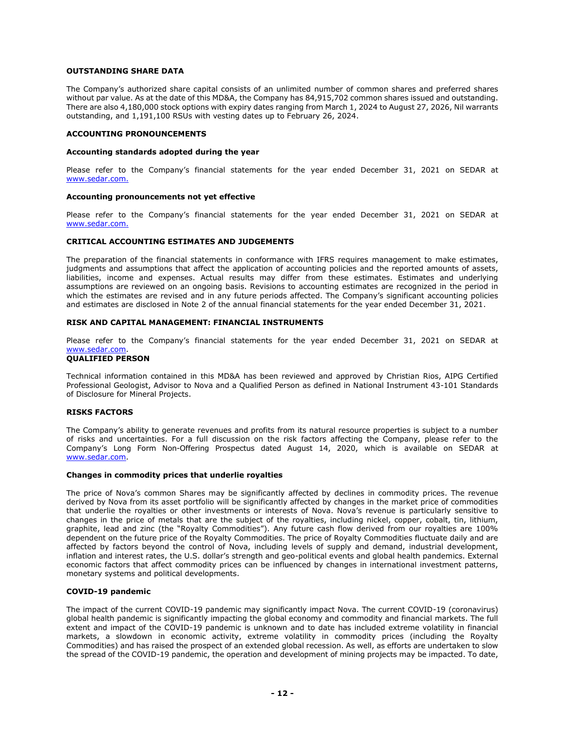## **OUTSTANDING SHARE DATA**

The Company's authorized share capital consists of an unlimited number of common shares and preferred shares without par value. As at the date of this MD&A, the Company has 84,915,702 common shares issued and outstanding. There are also 4,180,000 stock options with expiry dates ranging from March 1, 2024 to August 27, 2026, Nil warrants outstanding, and 1,191,100 RSUs with vesting dates up to February 26, 2024.

### **ACCOUNTING PRONOUNCEMENTS**

## **Accounting standards adopted during the year**

Please refer to the Company's financial statements for the year ended December 31, 2021 on SEDAR at [www.sedar.com.](http://www.sedar.com/)

#### **Accounting pronouncements not yet effective**

Please refer to the Company's financial statements for the year ended December 31, 2021 on SEDAR at [www.sedar.com.](http://www.sedar.com/)

## **CRITICAL ACCOUNTING ESTIMATES AND JUDGEMENTS**

The preparation of the financial statements in conformance with IFRS requires management to make estimates, judgments and assumptions that affect the application of accounting policies and the reported amounts of assets, liabilities, income and expenses. Actual results may differ from these estimates. Estimates and underlying assumptions are reviewed on an ongoing basis. Revisions to accounting estimates are recognized in the period in which the estimates are revised and in any future periods affected. The Company's significant accounting policies and estimates are disclosed in Note 2 of the annual financial statements for the year ended December 31, 2021.

## **RISK AND CAPITAL MANAGEMENT: FINANCIAL INSTRUMENTS**

Please refer to the Company's financial statements for the year ended December 31, 2021 on SEDAR at [www.sedar.com.](http://www.sedar.com/)

## **QUALIFIED PERSON**

Technical information contained in this MD&A has been reviewed and approved by Christian Rios, AIPG Certified Professional Geologist, Advisor to Nova and a Qualified Person as defined in National Instrument 43-101 Standards of Disclosure for Mineral Projects.

## **RISKS FACTORS**

The Company's ability to generate revenues and profits from its natural resource properties is subject to a number of risks and uncertainties. For a full discussion on the risk factors affecting the Company, please refer to the Company's Long Form Non-Offering Prospectus dated August 14, 2020, which is available on SEDAR at [www.sedar.com.](http://www.sedar.com/)

#### **Changes in commodity prices that underlie royalties**

The price of Nova's common Shares may be significantly affected by declines in commodity prices. The revenue derived by Nova from its asset portfolio will be significantly affected by changes in the market price of commodities that underlie the royalties or other investments or interests of Nova. Nova's revenue is particularly sensitive to changes in the price of metals that are the subject of the royalties, including nickel, copper, cobalt, tin, lithium, graphite, lead and zinc (the "Royalty Commodities"). Any future cash flow derived from our royalties are 100% dependent on the future price of the Royalty Commodities. The price of Royalty Commodities fluctuate daily and are affected by factors beyond the control of Nova, including levels of supply and demand, industrial development, inflation and interest rates, the U.S. dollar's strength and geo-political events and global health pandemics. External economic factors that affect commodity prices can be influenced by changes in international investment patterns, monetary systems and political developments.

## **COVID-19 pandemic**

The impact of the current COVID-19 pandemic may significantly impact Nova. The current COVID-19 (coronavirus) global health pandemic is significantly impacting the global economy and commodity and financial markets. The full extent and impact of the COVID-19 pandemic is unknown and to date has included extreme volatility in financial markets, a slowdown in economic activity, extreme volatility in commodity prices (including the Royalty Commodities) and has raised the prospect of an extended global recession. As well, as efforts are undertaken to slow the spread of the COVID-19 pandemic, the operation and development of mining projects may be impacted. To date,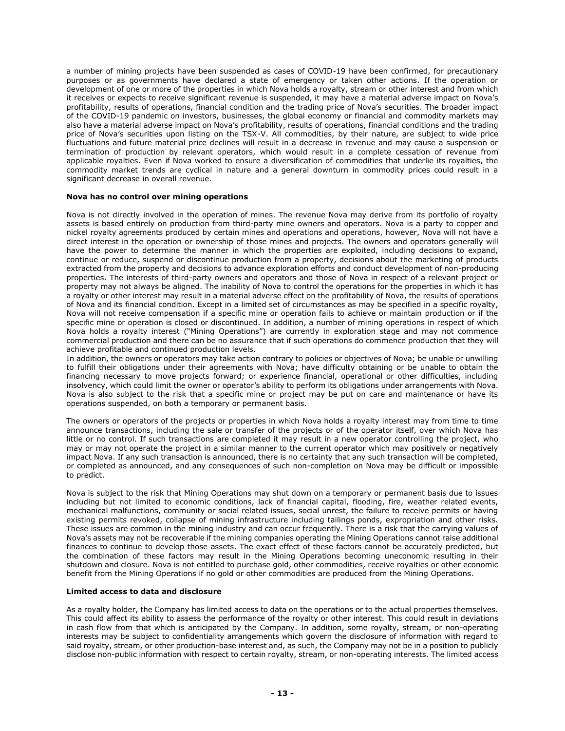a number of mining projects have been suspended as cases of COVID-19 have been confirmed, for precautionary purposes or as governments have declared a state of emergency or taken other actions. If the operation or development of one or more of the properties in which Nova holds a royalty, stream or other interest and from which it receives or expects to receive significant revenue is suspended, it may have a material adverse impact on Nova's profitability, results of operations, financial condition and the trading price of Nova's securities. The broader impact of the COVID-19 pandemic on investors, businesses, the global economy or financial and commodity markets may also have a material adverse impact on Nova's profitability, results of operations, financial conditions and the trading price of Nova's securities upon listing on the TSX-V. All commodities, by their nature, are subject to wide price fluctuations and future material price declines will result in a decrease in revenue and may cause a suspension or termination of production by relevant operators, which would result in a complete cessation of revenue from applicable royalties. Even if Nova worked to ensure a diversification of commodities that underlie its royalties, the commodity market trends are cyclical in nature and a general downturn in commodity prices could result in a significant decrease in overall revenue.

# **Nova has no control over mining operations**

Nova is not directly involved in the operation of mines. The revenue Nova may derive from its portfolio of royalty assets is based entirely on production from third-party mine owners and operators. Nova is a party to copper and nickel royalty agreements produced by certain mines and operations and operations, however, Nova will not have a direct interest in the operation or ownership of those mines and projects. The owners and operators generally will have the power to determine the manner in which the properties are exploited, including decisions to expand, continue or reduce, suspend or discontinue production from a property, decisions about the marketing of products extracted from the property and decisions to advance exploration efforts and conduct development of non-producing properties. The interests of third-party owners and operators and those of Nova in respect of a relevant project or property may not always be aligned. The inability of Nova to control the operations for the properties in which it has a royalty or other interest may result in a material adverse effect on the profitability of Nova, the results of operations of Nova and its financial condition. Except in a limited set of circumstances as may be specified in a specific royalty, Nova will not receive compensation if a specific mine or operation fails to achieve or maintain production or if the specific mine or operation is closed or discontinued. In addition, a number of mining operations in respect of which Nova holds a royalty interest ("Mining Operations") are currently in exploration stage and may not commence commercial production and there can be no assurance that if such operations do commence production that they will achieve profitable and continued production levels.

In addition, the owners or operators may take action contrary to policies or objectives of Nova; be unable or unwilling to fulfill their obligations under their agreements with Nova; have difficulty obtaining or be unable to obtain the financing necessary to move projects forward; or experience financial, operational or other difficulties, including insolvency, which could limit the owner or operator's ability to perform its obligations under arrangements with Nova. Nova is also subject to the risk that a specific mine or project may be put on care and maintenance or have its operations suspended, on both a temporary or permanent basis.

The owners or operators of the projects or properties in which Nova holds a royalty interest may from time to time announce transactions, including the sale or transfer of the projects or of the operator itself, over which Nova has little or no control. If such transactions are completed it may result in a new operator controlling the project, who may or may not operate the project in a similar manner to the current operator which may positively or negatively impact Nova. If any such transaction is announced, there is no certainty that any such transaction will be completed, or completed as announced, and any consequences of such non-completion on Nova may be difficult or impossible to predict.

Nova is subject to the risk that Mining Operations may shut down on a temporary or permanent basis due to issues including but not limited to economic conditions, lack of financial capital, flooding, fire, weather related events, mechanical malfunctions, community or social related issues, social unrest, the failure to receive permits or having existing permits revoked, collapse of mining infrastructure including tailings ponds, expropriation and other risks. These issues are common in the mining industry and can occur frequently. There is a risk that the carrying values of Nova's assets may not be recoverable if the mining companies operating the Mining Operations cannot raise additional finances to continue to develop those assets. The exact effect of these factors cannot be accurately predicted, but the combination of these factors may result in the Mining Operations becoming uneconomic resulting in their shutdown and closure. Nova is not entitled to purchase gold, other commodities, receive royalties or other economic benefit from the Mining Operations if no gold or other commodities are produced from the Mining Operations.

## **Limited access to data and disclosure**

As a royalty holder, the Company has limited access to data on the operations or to the actual properties themselves. This could affect its ability to assess the performance of the royalty or other interest. This could result in deviations in cash flow from that which is anticipated by the Company. In addition, some royalty, stream, or non-operating interests may be subject to confidentiality arrangements which govern the disclosure of information with regard to said royalty, stream, or other production-base interest and, as such, the Company may not be in a position to publicly disclose non-public information with respect to certain royalty, stream, or non-operating interests. The limited access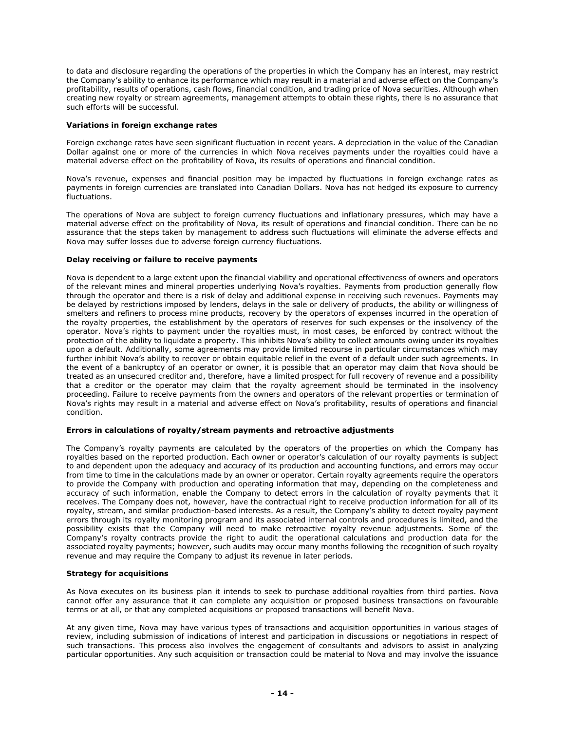to data and disclosure regarding the operations of the properties in which the Company has an interest, may restrict the Company's ability to enhance its performance which may result in a material and adverse effect on the Company's profitability, results of operations, cash flows, financial condition, and trading price of Nova securities. Although when creating new royalty or stream agreements, management attempts to obtain these rights, there is no assurance that such efforts will be successful.

# **Variations in foreign exchange rates**

Foreign exchange rates have seen significant fluctuation in recent years. A depreciation in the value of the Canadian Dollar against one or more of the currencies in which Nova receives payments under the royalties could have a material adverse effect on the profitability of Nova, its results of operations and financial condition.

Nova's revenue, expenses and financial position may be impacted by fluctuations in foreign exchange rates as payments in foreign currencies are translated into Canadian Dollars. Nova has not hedged its exposure to currency fluctuations.

The operations of Nova are subject to foreign currency fluctuations and inflationary pressures, which may have a material adverse effect on the profitability of Nova, its result of operations and financial condition. There can be no assurance that the steps taken by management to address such fluctuations will eliminate the adverse effects and Nova may suffer losses due to adverse foreign currency fluctuations.

# **Delay receiving or failure to receive payments**

Nova is dependent to a large extent upon the financial viability and operational effectiveness of owners and operators of the relevant mines and mineral properties underlying Nova's royalties. Payments from production generally flow through the operator and there is a risk of delay and additional expense in receiving such revenues. Payments may be delayed by restrictions imposed by lenders, delays in the sale or delivery of products, the ability or willingness of smelters and refiners to process mine products, recovery by the operators of expenses incurred in the operation of the royalty properties, the establishment by the operators of reserves for such expenses or the insolvency of the operator. Nova's rights to payment under the royalties must, in most cases, be enforced by contract without the protection of the ability to liquidate a property. This inhibits Nova's ability to collect amounts owing under its royalties upon a default. Additionally, some agreements may provide limited recourse in particular circumstances which may further inhibit Nova's ability to recover or obtain equitable relief in the event of a default under such agreements. In the event of a bankruptcy of an operator or owner, it is possible that an operator may claim that Nova should be treated as an unsecured creditor and, therefore, have a limited prospect for full recovery of revenue and a possibility that a creditor or the operator may claim that the royalty agreement should be terminated in the insolvency proceeding. Failure to receive payments from the owners and operators of the relevant properties or termination of Nova's rights may result in a material and adverse effect on Nova's profitability, results of operations and financial condition.

# **Errors in calculations of royalty/stream payments and retroactive adjustments**

The Company's royalty payments are calculated by the operators of the properties on which the Company has royalties based on the reported production. Each owner or operator's calculation of our royalty payments is subject to and dependent upon the adequacy and accuracy of its production and accounting functions, and errors may occur from time to time in the calculations made by an owner or operator. Certain royalty agreements require the operators to provide the Company with production and operating information that may, depending on the completeness and accuracy of such information, enable the Company to detect errors in the calculation of royalty payments that it receives. The Company does not, however, have the contractual right to receive production information for all of its royalty, stream, and similar production-based interests. As a result, the Company's ability to detect royalty payment errors through its royalty monitoring program and its associated internal controls and procedures is limited, and the possibility exists that the Company will need to make retroactive royalty revenue adjustments. Some of the Company's royalty contracts provide the right to audit the operational calculations and production data for the associated royalty payments; however, such audits may occur many months following the recognition of such royalty revenue and may require the Company to adjust its revenue in later periods.

# **Strategy for acquisitions**

As Nova executes on its business plan it intends to seek to purchase additional royalties from third parties. Nova cannot offer any assurance that it can complete any acquisition or proposed business transactions on favourable terms or at all, or that any completed acquisitions or proposed transactions will benefit Nova.

At any given time, Nova may have various types of transactions and acquisition opportunities in various stages of review, including submission of indications of interest and participation in discussions or negotiations in respect of such transactions. This process also involves the engagement of consultants and advisors to assist in analyzing particular opportunities. Any such acquisition or transaction could be material to Nova and may involve the issuance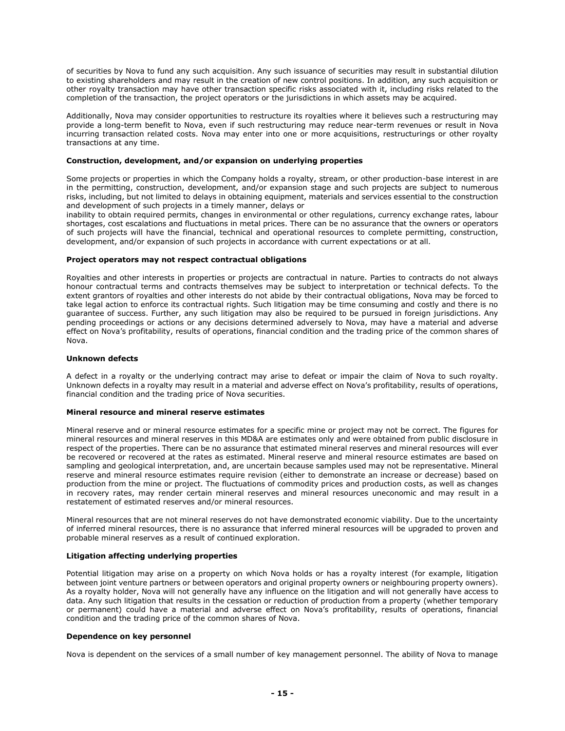of securities by Nova to fund any such acquisition. Any such issuance of securities may result in substantial dilution to existing shareholders and may result in the creation of new control positions. In addition, any such acquisition or other royalty transaction may have other transaction specific risks associated with it, including risks related to the completion of the transaction, the project operators or the jurisdictions in which assets may be acquired.

Additionally, Nova may consider opportunities to restructure its royalties where it believes such a restructuring may provide a long-term benefit to Nova, even if such restructuring may reduce near-term revenues or result in Nova incurring transaction related costs. Nova may enter into one or more acquisitions, restructurings or other royalty transactions at any time.

### **Construction, development, and/or expansion on underlying properties**

Some projects or properties in which the Company holds a royalty, stream, or other production-base interest in are in the permitting, construction, development, and/or expansion stage and such projects are subject to numerous risks, including, but not limited to delays in obtaining equipment, materials and services essential to the construction and development of such projects in a timely manner, delays or

inability to obtain required permits, changes in environmental or other regulations, currency exchange rates, labour shortages, cost escalations and fluctuations in metal prices. There can be no assurance that the owners or operators of such projects will have the financial, technical and operational resources to complete permitting, construction, development, and/or expansion of such projects in accordance with current expectations or at all.

## **Project operators may not respect contractual obligations**

Royalties and other interests in properties or projects are contractual in nature. Parties to contracts do not always honour contractual terms and contracts themselves may be subject to interpretation or technical defects. To the extent grantors of royalties and other interests do not abide by their contractual obligations, Nova may be forced to take legal action to enforce its contractual rights. Such litigation may be time consuming and costly and there is no guarantee of success. Further, any such litigation may also be required to be pursued in foreign jurisdictions. Any pending proceedings or actions or any decisions determined adversely to Nova, may have a material and adverse effect on Nova's profitability, results of operations, financial condition and the trading price of the common shares of Nova.

### **Unknown defects**

A defect in a royalty or the underlying contract may arise to defeat or impair the claim of Nova to such royalty. Unknown defects in a royalty may result in a material and adverse effect on Nova's profitability, results of operations, financial condition and the trading price of Nova securities.

## **Mineral resource and mineral reserve estimates**

Mineral reserve and or mineral resource estimates for a specific mine or project may not be correct. The figures for mineral resources and mineral reserves in this MD&A are estimates only and were obtained from public disclosure in respect of the properties. There can be no assurance that estimated mineral reserves and mineral resources will ever be recovered or recovered at the rates as estimated. Mineral reserve and mineral resource estimates are based on sampling and geological interpretation, and, are uncertain because samples used may not be representative. Mineral reserve and mineral resource estimates require revision (either to demonstrate an increase or decrease) based on production from the mine or project. The fluctuations of commodity prices and production costs, as well as changes in recovery rates, may render certain mineral reserves and mineral resources uneconomic and may result in a restatement of estimated reserves and/or mineral resources.

Mineral resources that are not mineral reserves do not have demonstrated economic viability. Due to the uncertainty of inferred mineral resources, there is no assurance that inferred mineral resources will be upgraded to proven and probable mineral reserves as a result of continued exploration.

## **Litigation affecting underlying properties**

Potential litigation may arise on a property on which Nova holds or has a royalty interest (for example, litigation between joint venture partners or between operators and original property owners or neighbouring property owners). As a royalty holder, Nova will not generally have any influence on the litigation and will not generally have access to data. Any such litigation that results in the cessation or reduction of production from a property (whether temporary or permanent) could have a material and adverse effect on Nova's profitability, results of operations, financial condition and the trading price of the common shares of Nova.

#### **Dependence on key personnel**

Nova is dependent on the services of a small number of key management personnel. The ability of Nova to manage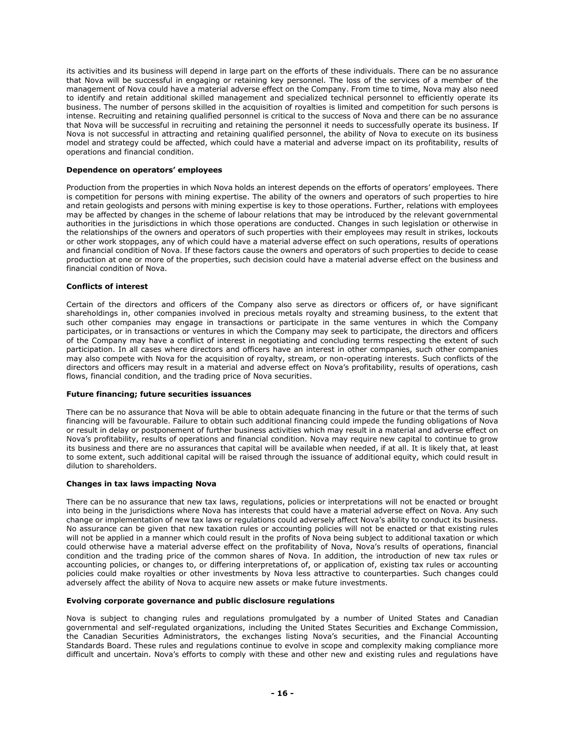its activities and its business will depend in large part on the efforts of these individuals. There can be no assurance that Nova will be successful in engaging or retaining key personnel. The loss of the services of a member of the management of Nova could have a material adverse effect on the Company. From time to time, Nova may also need to identify and retain additional skilled management and specialized technical personnel to efficiently operate its business. The number of persons skilled in the acquisition of royalties is limited and competition for such persons is intense. Recruiting and retaining qualified personnel is critical to the success of Nova and there can be no assurance that Nova will be successful in recruiting and retaining the personnel it needs to successfully operate its business. If Nova is not successful in attracting and retaining qualified personnel, the ability of Nova to execute on its business model and strategy could be affected, which could have a material and adverse impact on its profitability, results of operations and financial condition.

## **Dependence on operators' employees**

Production from the properties in which Nova holds an interest depends on the efforts of operators' employees. There is competition for persons with mining expertise. The ability of the owners and operators of such properties to hire and retain geologists and persons with mining expertise is key to those operations. Further, relations with employees may be affected by changes in the scheme of labour relations that may be introduced by the relevant governmental authorities in the jurisdictions in which those operations are conducted. Changes in such legislation or otherwise in the relationships of the owners and operators of such properties with their employees may result in strikes, lockouts or other work stoppages, any of which could have a material adverse effect on such operations, results of operations and financial condition of Nova. If these factors cause the owners and operators of such properties to decide to cease production at one or more of the properties, such decision could have a material adverse effect on the business and financial condition of Nova.

# **Conflicts of interest**

Certain of the directors and officers of the Company also serve as directors or officers of, or have significant shareholdings in, other companies involved in precious metals royalty and streaming business, to the extent that such other companies may engage in transactions or participate in the same ventures in which the Company participates, or in transactions or ventures in which the Company may seek to participate, the directors and officers of the Company may have a conflict of interest in negotiating and concluding terms respecting the extent of such participation. In all cases where directors and officers have an interest in other companies, such other companies may also compete with Nova for the acquisition of royalty, stream, or non-operating interests. Such conflicts of the directors and officers may result in a material and adverse effect on Nova's profitability, results of operations, cash flows, financial condition, and the trading price of Nova securities.

# **Future financing; future securities issuances**

There can be no assurance that Nova will be able to obtain adequate financing in the future or that the terms of such financing will be favourable. Failure to obtain such additional financing could impede the funding obligations of Nova or result in delay or postponement of further business activities which may result in a material and adverse effect on Nova's profitability, results of operations and financial condition. Nova may require new capital to continue to grow its business and there are no assurances that capital will be available when needed, if at all. It is likely that, at least to some extent, such additional capital will be raised through the issuance of additional equity, which could result in dilution to shareholders.

## **Changes in tax laws impacting Nova**

There can be no assurance that new tax laws, regulations, policies or interpretations will not be enacted or brought into being in the jurisdictions where Nova has interests that could have a material adverse effect on Nova. Any such change or implementation of new tax laws or regulations could adversely affect Nova's ability to conduct its business. No assurance can be given that new taxation rules or accounting policies will not be enacted or that existing rules will not be applied in a manner which could result in the profits of Nova being subject to additional taxation or which could otherwise have a material adverse effect on the profitability of Nova, Nova's results of operations, financial condition and the trading price of the common shares of Nova. In addition, the introduction of new tax rules or accounting policies, or changes to, or differing interpretations of, or application of, existing tax rules or accounting policies could make royalties or other investments by Nova less attractive to counterparties. Such changes could adversely affect the ability of Nova to acquire new assets or make future investments.

## **Evolving corporate governance and public disclosure regulations**

Nova is subject to changing rules and regulations promulgated by a number of United States and Canadian governmental and self-regulated organizations, including the United States Securities and Exchange Commission, the Canadian Securities Administrators, the exchanges listing Nova's securities, and the Financial Accounting Standards Board. These rules and regulations continue to evolve in scope and complexity making compliance more difficult and uncertain. Nova's efforts to comply with these and other new and existing rules and regulations have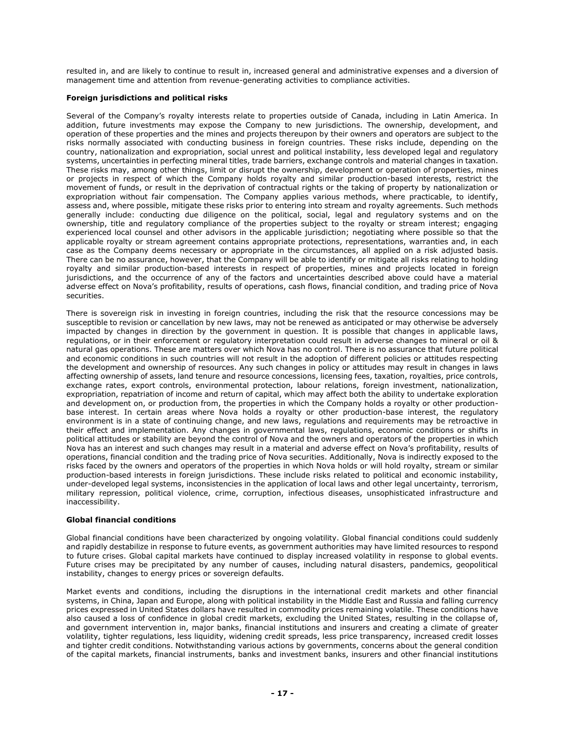resulted in, and are likely to continue to result in, increased general and administrative expenses and a diversion of management time and attention from revenue-generating activities to compliance activities.

# **Foreign jurisdictions and political risks**

Several of the Company's royalty interests relate to properties outside of Canada, including in Latin America. In addition, future investments may expose the Company to new jurisdictions. The ownership, development, and operation of these properties and the mines and projects thereupon by their owners and operators are subject to the risks normally associated with conducting business in foreign countries. These risks include, depending on the country, nationalization and expropriation, social unrest and political instability, less developed legal and regulatory systems, uncertainties in perfecting mineral titles, trade barriers, exchange controls and material changes in taxation. These risks may, among other things, limit or disrupt the ownership, development or operation of properties, mines or projects in respect of which the Company holds royalty and similar production-based interests, restrict the movement of funds, or result in the deprivation of contractual rights or the taking of property by nationalization or expropriation without fair compensation. The Company applies various methods, where practicable, to identify, assess and, where possible, mitigate these risks prior to entering into stream and royalty agreements. Such methods generally include: conducting due diligence on the political, social, legal and regulatory systems and on the ownership, title and regulatory compliance of the properties subject to the royalty or stream interest; engaging experienced local counsel and other advisors in the applicable jurisdiction; negotiating where possible so that the applicable royalty or stream agreement contains appropriate protections, representations, warranties and, in each case as the Company deems necessary or appropriate in the circumstances, all applied on a risk adjusted basis. There can be no assurance, however, that the Company will be able to identify or mitigate all risks relating to holding royalty and similar production-based interests in respect of properties, mines and projects located in foreign jurisdictions, and the occurrence of any of the factors and uncertainties described above could have a material adverse effect on Nova's profitability, results of operations, cash flows, financial condition, and trading price of Nova securities.

There is sovereign risk in investing in foreign countries, including the risk that the resource concessions may be susceptible to revision or cancellation by new laws, may not be renewed as anticipated or may otherwise be adversely impacted by changes in direction by the government in question. It is possible that changes in applicable laws, regulations, or in their enforcement or regulatory interpretation could result in adverse changes to mineral or oil & natural gas operations. These are matters over which Nova has no control. There is no assurance that future political and economic conditions in such countries will not result in the adoption of different policies or attitudes respecting the development and ownership of resources. Any such changes in policy or attitudes may result in changes in laws affecting ownership of assets, land tenure and resource concessions, licensing fees, taxation, royalties, price controls, exchange rates, export controls, environmental protection, labour relations, foreign investment, nationalization, expropriation, repatriation of income and return of capital, which may affect both the ability to undertake exploration and development on, or production from, the properties in which the Company holds a royalty or other productionbase interest. In certain areas where Nova holds a royalty or other production-base interest, the regulatory environment is in a state of continuing change, and new laws, regulations and requirements may be retroactive in their effect and implementation. Any changes in governmental laws, regulations, economic conditions or shifts in political attitudes or stability are beyond the control of Nova and the owners and operators of the properties in which Nova has an interest and such changes may result in a material and adverse effect on Nova's profitability, results of operations, financial condition and the trading price of Nova securities. Additionally, Nova is indirectly exposed to the risks faced by the owners and operators of the properties in which Nova holds or will hold royalty, stream or similar production-based interests in foreign jurisdictions. These include risks related to political and economic instability, under-developed legal systems, inconsistencies in the application of local laws and other legal uncertainty, terrorism, military repression, political violence, crime, corruption, infectious diseases, unsophisticated infrastructure and inaccessibility.

## **Global financial conditions**

Global financial conditions have been characterized by ongoing volatility. Global financial conditions could suddenly and rapidly destabilize in response to future events, as government authorities may have limited resources to respond to future crises. Global capital markets have continued to display increased volatility in response to global events. Future crises may be precipitated by any number of causes, including natural disasters, pandemics, geopolitical instability, changes to energy prices or sovereign defaults.

Market events and conditions, including the disruptions in the international credit markets and other financial systems, in China, Japan and Europe, along with political instability in the Middle East and Russia and falling currency prices expressed in United States dollars have resulted in commodity prices remaining volatile. These conditions have also caused a loss of confidence in global credit markets, excluding the United States, resulting in the collapse of, and government intervention in, major banks, financial institutions and insurers and creating a climate of greater volatility, tighter regulations, less liquidity, widening credit spreads, less price transparency, increased credit losses and tighter credit conditions. Notwithstanding various actions by governments, concerns about the general condition of the capital markets, financial instruments, banks and investment banks, insurers and other financial institutions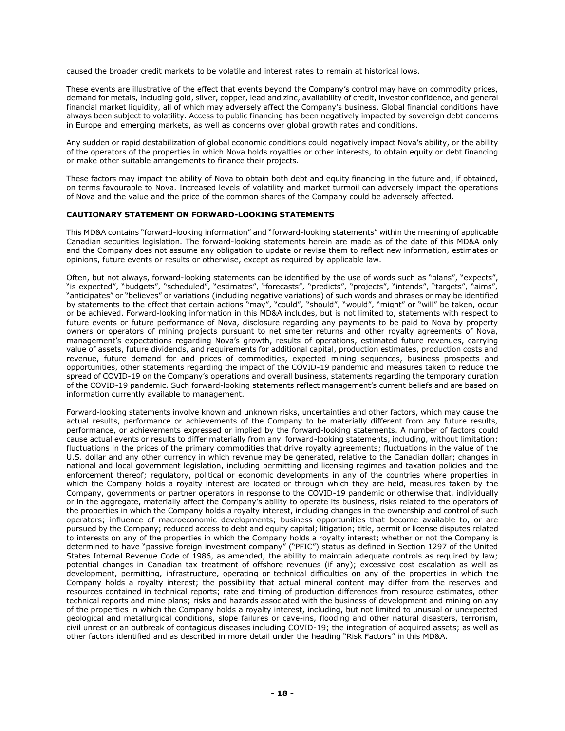caused the broader credit markets to be volatile and interest rates to remain at historical lows.

These events are illustrative of the effect that events beyond the Company's control may have on commodity prices, demand for metals, including gold, silver, copper, lead and zinc, availability of credit, investor confidence, and general financial market liquidity, all of which may adversely affect the Company's business. Global financial conditions have always been subject to volatility. Access to public financing has been negatively impacted by sovereign debt concerns in Europe and emerging markets, as well as concerns over global growth rates and conditions.

Any sudden or rapid destabilization of global economic conditions could negatively impact Nova's ability, or the ability of the operators of the properties in which Nova holds royalties or other interests, to obtain equity or debt financing or make other suitable arrangements to finance their projects.

These factors may impact the ability of Nova to obtain both debt and equity financing in the future and, if obtained, on terms favourable to Nova. Increased levels of volatility and market turmoil can adversely impact the operations of Nova and the value and the price of the common shares of the Company could be adversely affected.

## **CAUTIONARY STATEMENT ON FORWARD-LOOKING STATEMENTS**

This MD&A contains "forward-looking information" and "forward-looking statements" within the meaning of applicable Canadian securities legislation. The forward-looking statements herein are made as of the date of this MD&A only and the Company does not assume any obligation to update or revise them to reflect new information, estimates or opinions, future events or results or otherwise, except as required by applicable law.

Often, but not always, forward-looking statements can be identified by the use of words such as "plans", "expects", "is expected", "budgets", "scheduled", "estimates", "forecasts", "predicts", "projects", "intends", "targets", "aims", "anticipates" or "believes" or variations (including negative variations) of such words and phrases or may be identified by statements to the effect that certain actions "may", "could", "should", "would", "might" or "will" be taken, occur or be achieved. Forward-looking information in this MD&A includes, but is not limited to, statements with respect to future events or future performance of Nova, disclosure regarding any payments to be paid to Nova by property owners or operators of mining projects pursuant to net smelter returns and other royalty agreements of Nova, management's expectations regarding Nova's growth, results of operations, estimated future revenues, carrying value of assets, future dividends, and requirements for additional capital, production estimates, production costs and revenue, future demand for and prices of commodities, expected mining sequences, business prospects and opportunities, other statements regarding the impact of the COVID-19 pandemic and measures taken to reduce the spread of COVID-19 on the Company's operations and overall business, statements regarding the temporary duration of the COVID-19 pandemic. Such forward-looking statements reflect management's current beliefs and are based on information currently available to management.

Forward-looking statements involve known and unknown risks, uncertainties and other factors, which may cause the actual results, performance or achievements of the Company to be materially different from any future results, performance, or achievements expressed or implied by the forward-looking statements. A number of factors could cause actual events or results to differ materially from any forward-looking statements, including, without limitation: fluctuations in the prices of the primary commodities that drive royalty agreements; fluctuations in the value of the U.S. dollar and any other currency in which revenue may be generated, relative to the Canadian dollar; changes in national and local government legislation, including permitting and licensing regimes and taxation policies and the enforcement thereof; regulatory, political or economic developments in any of the countries where properties in which the Company holds a royalty interest are located or through which they are held, measures taken by the Company, governments or partner operators in response to the COVID-19 pandemic or otherwise that, individually or in the aggregate, materially affect the Company's ability to operate its business, risks related to the operators of the properties in which the Company holds a royalty interest, including changes in the ownership and control of such operators; influence of macroeconomic developments; business opportunities that become available to, or are pursued by the Company; reduced access to debt and equity capital; litigation; title, permit or license disputes related to interests on any of the properties in which the Company holds a royalty interest; whether or not the Company is determined to have "passive foreign investment company" ("PFIC") status as defined in Section 1297 of the United States Internal Revenue Code of 1986, as amended; the ability to maintain adequate controls as required by law; potential changes in Canadian tax treatment of offshore revenues (if any); excessive cost escalation as well as development, permitting, infrastructure, operating or technical difficulties on any of the properties in which the Company holds a royalty interest; the possibility that actual mineral content may differ from the reserves and resources contained in technical reports; rate and timing of production differences from resource estimates, other technical reports and mine plans; risks and hazards associated with the business of development and mining on any of the properties in which the Company holds a royalty interest, including, but not limited to unusual or unexpected geological and metallurgical conditions, slope failures or cave-ins, flooding and other natural disasters, terrorism, civil unrest or an outbreak of contagious diseases including COVID-19; the integration of acquired assets; as well as other factors identified and as described in more detail under the heading "Risk Factors" in this MD&A.